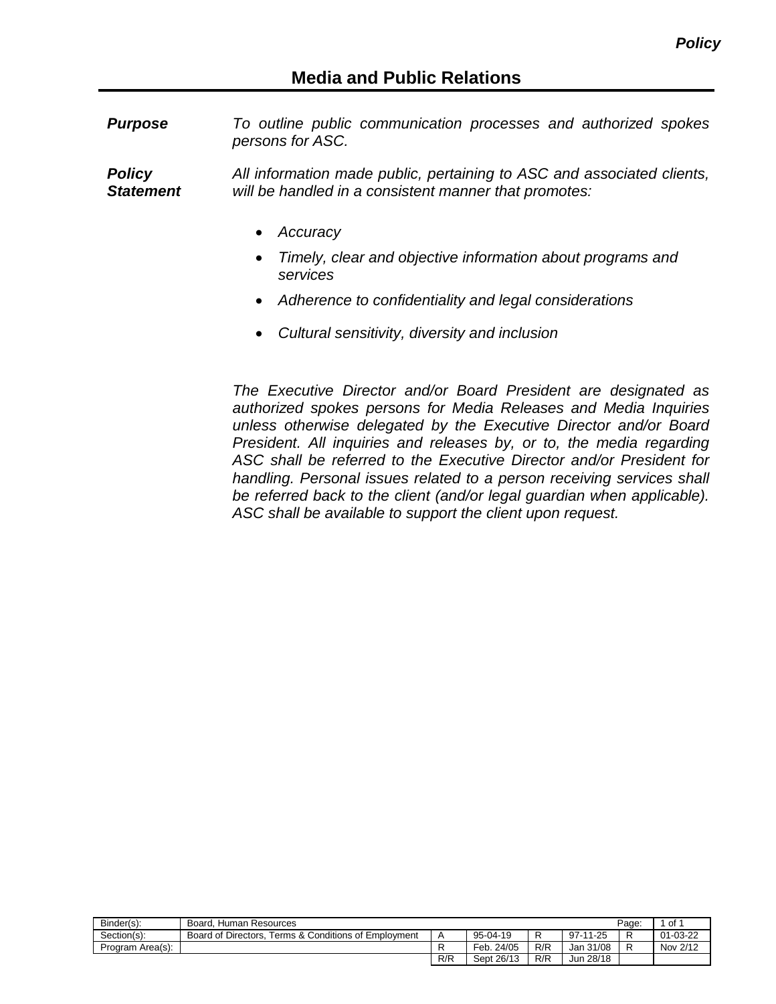*Purpose To outline public communication processes and authorized spokes persons for ASC.*

*Policy Statement All information made public, pertaining to ASC and associated clients, will be handled in a consistent manner that promotes:*

- *Accuracy*
- *Timely, clear and objective information about programs and services*
- *Adherence to confidentiality and legal considerations*
- *Cultural sensitivity, diversity and inclusion*

*The Executive Director and/or Board President are designated as authorized spokes persons for Media Releases and Media Inquiries unless otherwise delegated by the Executive Director and/or Board President. All inquiries and releases by, or to, the media regarding ASC shall be referred to the Executive Director and/or President for handling. Personal issues related to a person receiving services shall be referred back to the client (and/or legal guardian when applicable). ASC shall be available to support the client upon request.*

| Binder(s):       | Board, Human Resources                               |                |            |     |           | Page: | of       |
|------------------|------------------------------------------------------|----------------|------------|-----|-----------|-------|----------|
| Section(s):      | Board of Directors. Terms & Conditions of Employment | $\overline{A}$ | 95-04-19   |     | 97-11-25  |       | 01-03-22 |
| Program Area(s): |                                                      |                | Feb. 24/05 | R/R | Jan 31/08 |       | Nov 2/12 |
|                  |                                                      | R/R            | Sept 26/13 | R/R | Jun 28/18 |       |          |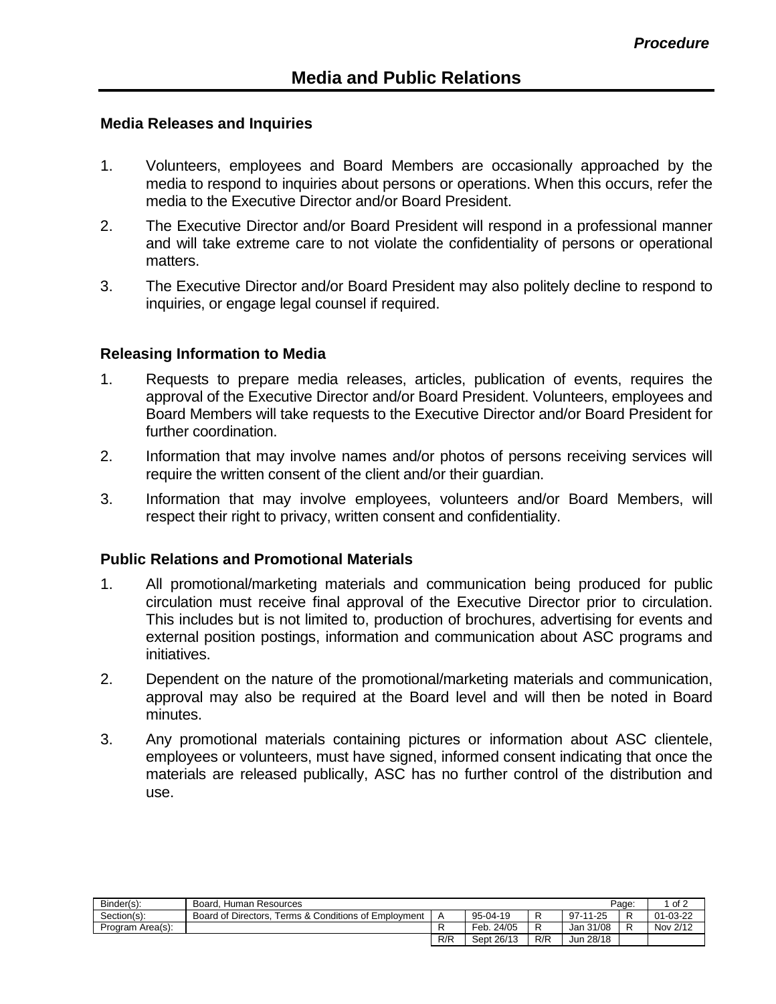## **Media Releases and Inquiries**

- 1. Volunteers, employees and Board Members are occasionally approached by the media to respond to inquiries about persons or operations. When this occurs, refer the media to the Executive Director and/or Board President.
- 2. The Executive Director and/or Board President will respond in a professional manner and will take extreme care to not violate the confidentiality of persons or operational matters.
- 3. The Executive Director and/or Board President may also politely decline to respond to inquiries, or engage legal counsel if required.

## **Releasing Information to Media**

- 1. Requests to prepare media releases, articles, publication of events, requires the approval of the Executive Director and/or Board President. Volunteers, employees and Board Members will take requests to the Executive Director and/or Board President for further coordination.
- 2. Information that may involve names and/or photos of persons receiving services will require the written consent of the client and/or their guardian.
- 3. Information that may involve employees, volunteers and/or Board Members, will respect their right to privacy, written consent and confidentiality.

## **Public Relations and Promotional Materials**

- 1. All promotional/marketing materials and communication being produced for public circulation must receive final approval of the Executive Director prior to circulation. This includes but is not limited to, production of brochures, advertising for events and external position postings, information and communication about ASC programs and initiatives.
- 2. Dependent on the nature of the promotional/marketing materials and communication, approval may also be required at the Board level and will then be noted in Board minutes.
- 3. Any promotional materials containing pictures or information about ASC clientele, employees or volunteers, must have signed, informed consent indicating that once the materials are released publically, ASC has no further control of the distribution and use.

| Binder(s):       | Board, Human Resources                               |     |            |     | Page:     | of 2 |          |
|------------------|------------------------------------------------------|-----|------------|-----|-----------|------|----------|
| Section(s):      | Board of Directors. Terms & Conditions of Employment |     | 95-04-19   | R   | 97-11-25  |      | 01-03-22 |
| Program Area(s): |                                                      |     | Feb. 24/05 | R   | Jan 31/08 |      | Nov 2/12 |
|                  |                                                      | R/R | Sept 26/13 | R/R | Jun 28/18 |      |          |